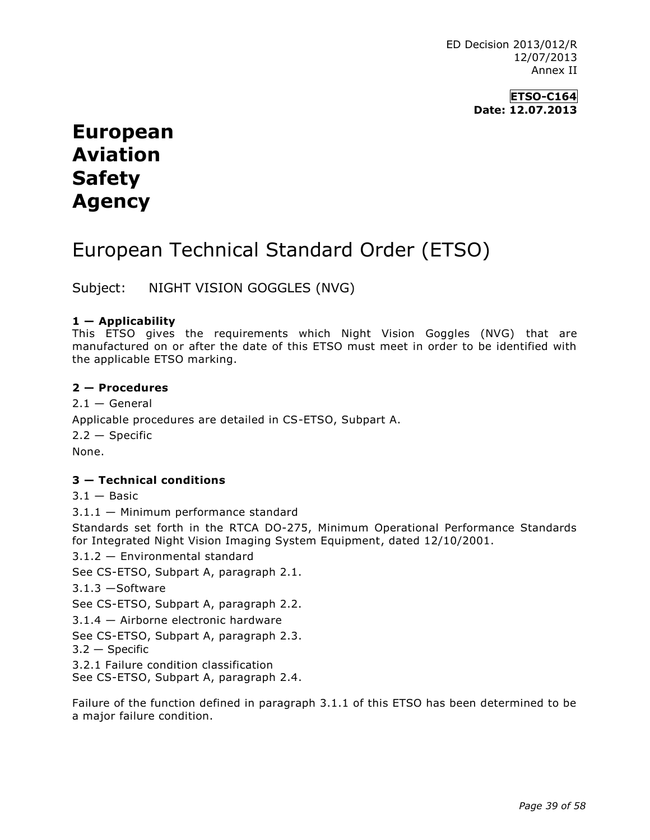ED Decision 2013/012/R 12/07/2013 Annex II

> **ETSO-C164 Date: 12.07.2013**

# **European Aviation Safety Agency**

# European Technical Standard Order (ETSO)

Subject: NIGHT VISION GOGGLES (NVG)

# **1 — Applicability**

This ETSO gives the requirements which Night Vision Goggles (NVG) that are manufactured on or after the date of this ETSO must meet in order to be identified with the applicable ETSO marking.

## **2 — Procedures**

 $2.1 - General$ Applicable procedures are detailed in CS-ETSO, Subpart A.  $2.2 -$ Specific None.

# **3 — Technical conditions**

 $3.1 -$ Basic

3.1.1 — Minimum performance standard

Standards set forth in the RTCA DO-275, Minimum Operational Performance Standards for Integrated Night Vision Imaging System Equipment, dated 12/10/2001.

3.1.2 — Environmental standard

See CS-ETSO, Subpart A, paragraph 2.1.

3.1.3 —Software

See CS-ETSO, Subpart A, paragraph 2.2.

3.1.4 — Airborne electronic hardware

See CS-ETSO, Subpart A, paragraph 2.3.

3.2 — Specific

3.2.1 Failure condition classification See CS-ETSO, Subpart A, paragraph 2.4.

Failure of the function defined in paragraph 3.1.1 of this ETSO has been determined to be a major failure condition.